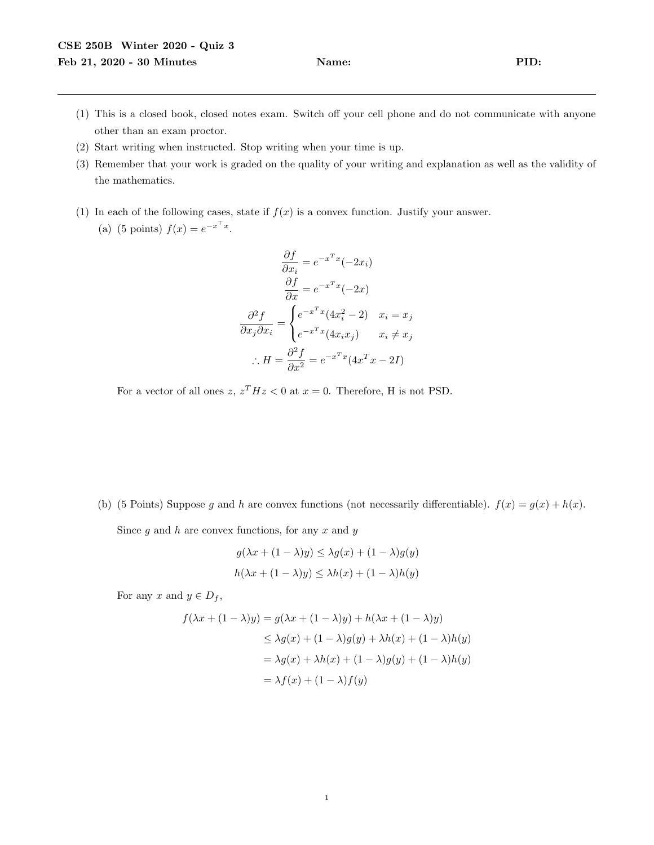- (1) This is a closed book, closed notes exam. Switch off your cell phone and do not communicate with anyone other than an exam proctor.
- (2) Start writing when instructed. Stop writing when your time is up.
- (3) Remember that your work is graded on the quality of your writing and explanation as well as the validity of the mathematics.
- (1) In each of the following cases, state if  $f(x)$  is a convex function. Justify your answer. (a) (5 points)  $f(x) = e^{-x^{\top}x}$ .

$$
\frac{\partial f}{\partial x_i} = e^{-x^T x} (-2x_i)
$$

$$
\frac{\partial f}{\partial x} = e^{-x^T x} (-2x)
$$

$$
\frac{\partial^2 f}{\partial x_j \partial x_i} = \begin{cases} e^{-x^T x} (4x_i^2 - 2) & x_i = x_j \\ e^{-x^T x} (4x_i x_j) & x_i \neq x_j \end{cases}
$$

$$
\therefore H = \frac{\partial^2 f}{\partial x^2} = e^{-x^T x} (4x^T x - 2I)
$$

For a vector of all ones  $z, z<sup>T</sup> Hz < 0$  at  $x = 0$ . Therefore, H is not PSD.

(b) (5 Points) Suppose g and h are convex functions (not necessarily differentiable).  $f(x) = g(x) + h(x)$ . Since  $g$  and  $h$  are convex functions, for any  $x$  and  $y$ 

$$
g(\lambda x + (1 - \lambda)y) \leq \lambda g(x) + (1 - \lambda)g(y)
$$
  

$$
h(\lambda x + (1 - \lambda)y) \leq \lambda h(x) + (1 - \lambda)h(y)
$$

For any x and  $y \in D_f$ ,

$$
f(\lambda x + (1 - \lambda)y) = g(\lambda x + (1 - \lambda)y) + h(\lambda x + (1 - \lambda)y)
$$
  
\n
$$
\leq \lambda g(x) + (1 - \lambda)g(y) + \lambda h(x) + (1 - \lambda)h(y)
$$
  
\n
$$
= \lambda g(x) + \lambda h(x) + (1 - \lambda)g(y) + (1 - \lambda)h(y)
$$
  
\n
$$
= \lambda f(x) + (1 - \lambda)f(y)
$$